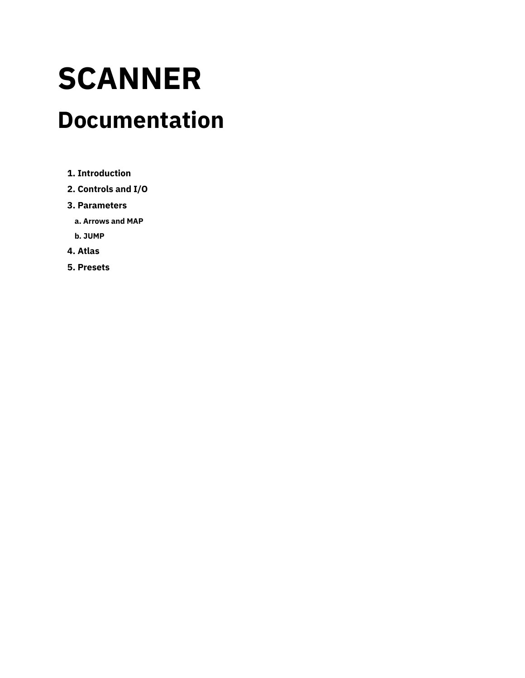# **SCANNER**

## **Documentation**

- **1. [Introduction](#page-1-0)**
- **2. [Controls](#page-3-0) and I/O**
- **3. [Parameters](#page-5-0)**
	- **a. [Arrows](#page-5-1) and MAP**
- **b. [JUMP](#page-7-0)**
- **4. [Atlas](#page-9-0)**
- **5. [Presets](#page-10-0)**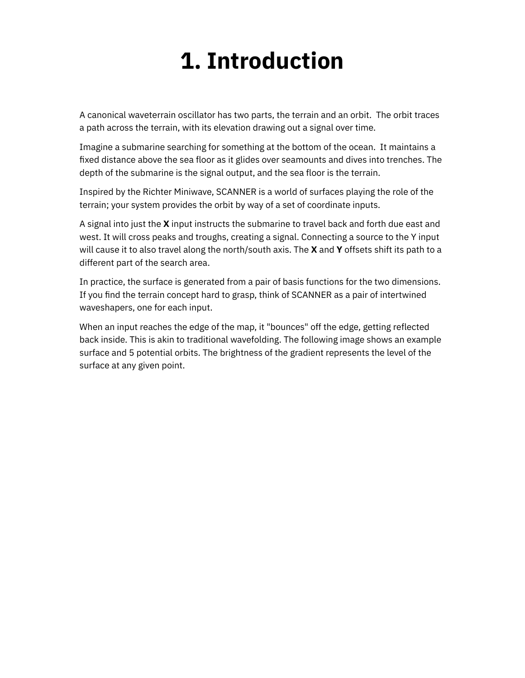## **1. Introduction**

<span id="page-1-0"></span>A canonical waveterrain oscillator has two parts, the terrain and an orbit. The orbit traces a path across the terrain, with its elevation drawing out a signal over time.

Imagine a submarine searching for something at the bottom of the ocean. It maintains a fixed distance above the sea floor as it glides over seamounts and dives into trenches. The depth of the submarine is the signal output, and the sea floor is the terrain.

Inspired by the Richter Miniwave, SCANNER is a world of surfaces playing the role of the terrain; your system provides the orbit by way of a set of coordinate inputs.

A signal into just the **X** input instructs the submarine to travel back and forth due east and west. It will cross peaks and troughs, creating a signal. Connecting a source to the Y input will cause it to also travel along the north/south axis. The **X** and **Y** offsets shift its path to a different part of the search area.

In practice, the surface is generated from a pair of basis functions for the two dimensions. If you find the terrain concept hard to grasp, think of SCANNER as a pair of intertwined waveshapers, one for each input.

When an input reaches the edge of the map, it "bounces" off the edge, getting reflected back inside. This is akin to traditional wavefolding. The following image shows an example surface and 5 potential orbits. The brightness of the gradient represents the level of the surface at any given point.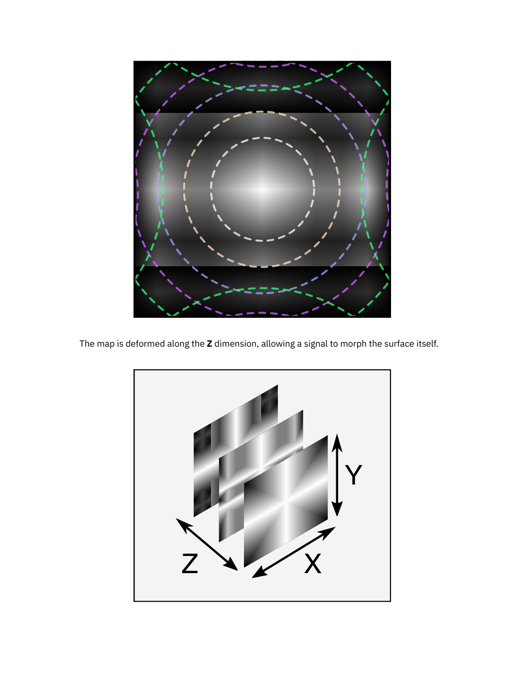

The map is deformed along the **Z** dimension, allowing a signal to morph the surface itself.

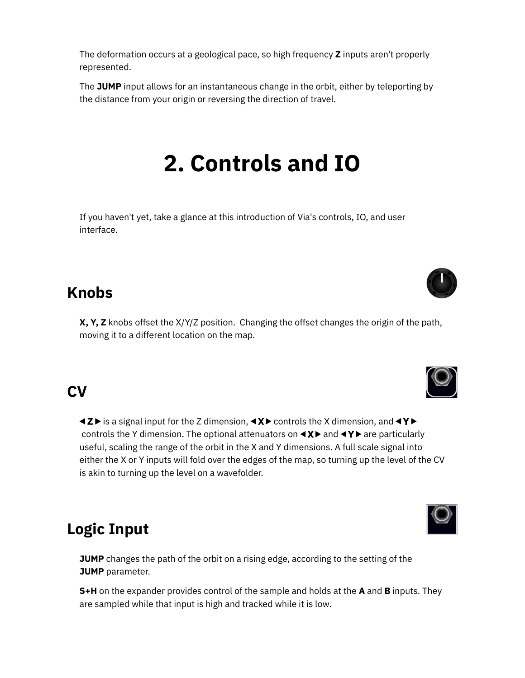The deformation occurs at a geological pace, so high frequency **Z** inputs aren't properly represented.

<span id="page-3-0"></span>The **JUMP** input allows for an instantaneous change in the orbit, either by teleporting by the distance from your origin or reversing the direction of travel.

## **2. Controls and IO**

If you haven't yet, take a glance at this [introduction](https://starling.space/via/platform-info#controls-io) of Via's controls, IO, and user interface.

### **Knobs**

**X, Y, Z** knobs offset the X/Y/Z position. Changing the offset changes the origin of the path, moving it to a different location on the map.

## **CV**

 $\triangleleft$   $\angle$  is a signal input for the Z dimension,  $\triangleleft$   $\times$   $\triangleright$  controls the X dimension, and  $\triangleleft$   $\triangleright$ controls the Y dimension. The optional attenuators on  $\langle A \rangle$  and  $\langle A \rangle$  are particularly useful, scaling the range of the orbit in the X and Y dimensions. A full scale signal into either the X or Y inputs will fold over the edges of the map, so turning up the level of the CV is akin to turning up the level on a wavefolder.

### **Logic Input**

**JUMP** changes the path of the orbit on a rising edge, according to the setting of the **[JUMP](#page-7-0)** parameter.

**S+H** on the expander provides control of the sample and holds at the **A** and **B** inputs. They are sampled while that input is high and tracked while it is low.





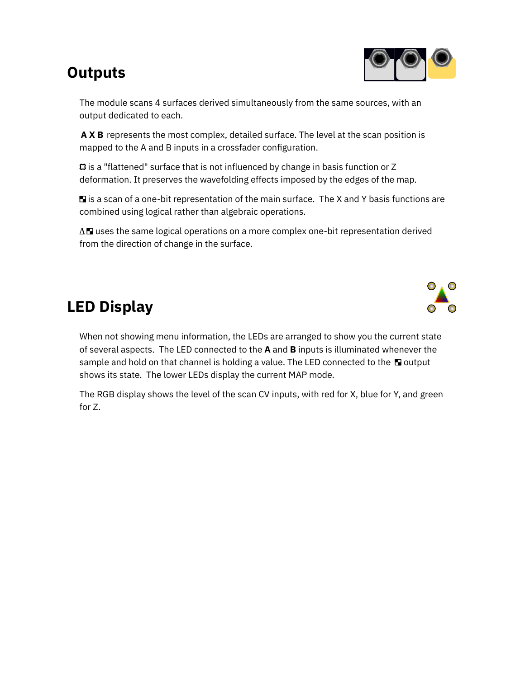## **Outputs**



The module scans 4 surfaces derived simultaneously from the same sources, with an output dedicated to each.

**A X B** represents the most complex, detailed surface. The level at the scan position is mapped to the A and B inputs in a crossfader configuration.

is a "flattened" surface that is not influenced by change in basis function or Z deformation. It preserves the wavefolding effects imposed by the edges of the map.

 $\blacksquare$  is a scan of a one-bit representation of the main surface. The X and Y basis functions are combined using logical rather than algebraic operations.

 $\Delta \blacksquare$  uses the same logical operations on a more complex one-bit representation derived from the direction of change in the surface.

## **LED Display**

When not showing menu information, the LEDs are arranged to show you the current state of several aspects. The LED connected to the **A** and **B** inputs is illuminated whenever the sample and hold on that channel is holding a value. The LED connected to the  $\blacksquare$  output shows its state. The lower LEDs display the current MAP mode.

The RGB display shows the level of the scan CV inputs, with red for X, blue for Y, and green for Z.

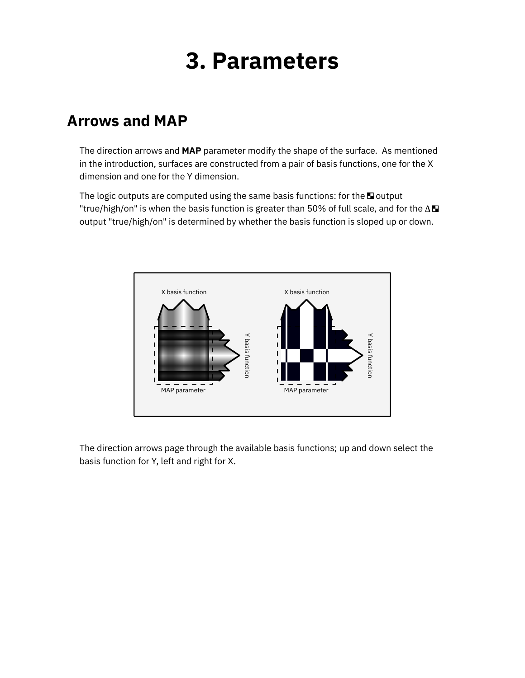## **3. Parameters**

### <span id="page-5-1"></span><span id="page-5-0"></span>**Arrows and MAP**

The direction arrows and **MAP** parameter modify the shape of the surface. As mentioned in the introduction, surfaces are constructed from a pair of basis functions, one for the X dimension and one for the Y dimension.

The logic outputs are computed using the same basis functions: for the  $\square$  output "true/high/on" is when the basis function is greater than 50% of full scale, and for the  $\Delta \blacksquare$ output "true/high/on" is determined by whether the basis function is sloped up or down.



The direction arrows page through the available basis functions; up and down select the basis function for Y, left and right for X.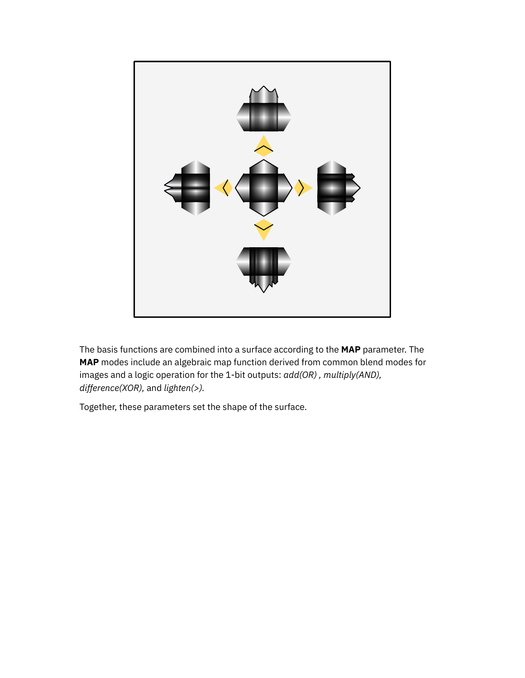

The basis functions are combined into a surface according to the **MAP** parameter. The **MAP** modes include an algebraic map function derived from common blend modes for images and a logic operation for the 1-bit outputs: *add(OR) , multiply(AND), difference(XOR),* and *lighten(>).*

Together, these parameters set the shape of the surface.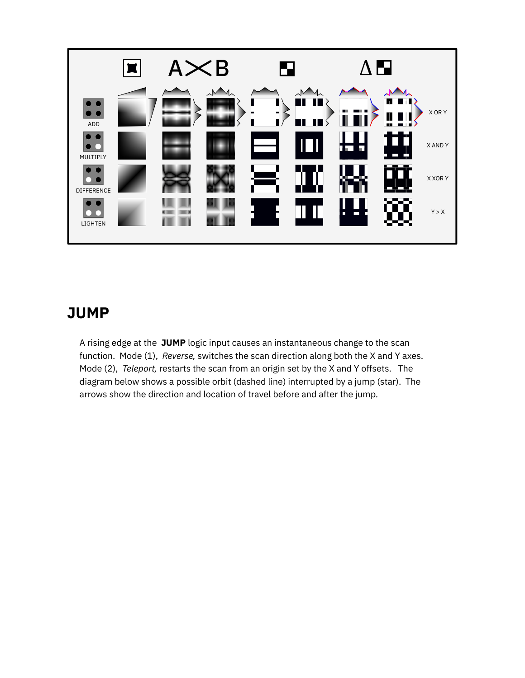

### <span id="page-7-0"></span>**JUMP**

A rising edge at the **JUMP** logic input causes an instantaneous change to the scan function. Mode (1), *Reverse,* switches the scan direction along both the X and Y axes. Mode (2), *Teleport,* restarts the scan from an origin set by the X and Y offsets. The diagram below shows a possible orbit (dashed line) interrupted by a jump (star). The arrows show the direction and location of travel before and after the jump.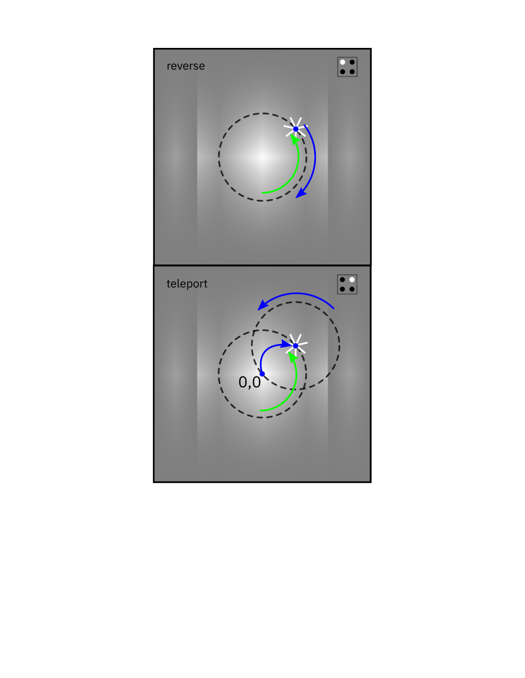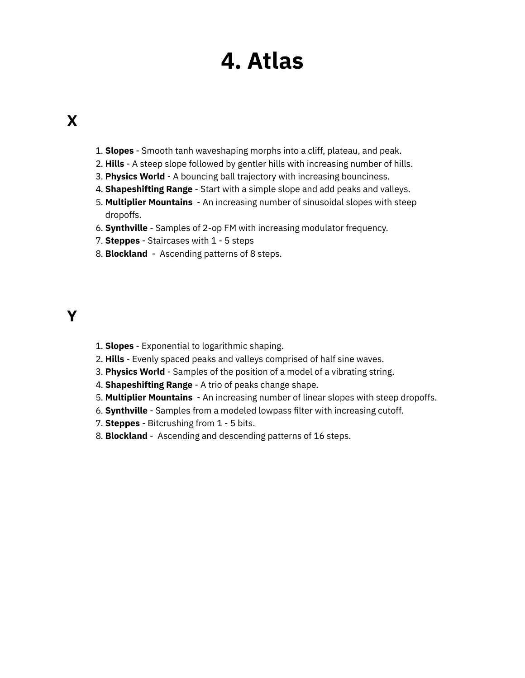## **4. Atlas**

### <span id="page-9-0"></span>**X**

- 1. **Slopes** Smooth tanh waveshaping morphs into a cliff, plateau, and peak.
- 2. **Hills** A steep slope followed by gentler hills with increasing number of hills.
- 3. **Physics World** A bouncing ball trajectory with increasing bounciness.
- 4. **Shapeshifting Range** Start with a simple slope and add peaks and valleys.
- 5. **Multiplier Mountains** An increasing number of sinusoidal slopes with steep dropoffs.
- 6. **Synthville** Samples of 2-op FM with increasing modulator frequency.
- 7. **Steppes** Staircases with 1 5 steps
- 8. **Blockland** Ascending patterns of 8 steps.

### **Y**

- 1. **Slopes** Exponential to logarithmic shaping.
- 2. **Hills** Evenly spaced peaks and valleys comprised of half sine waves.
- 3. **Physics World** Samples of the position of a model of a vibrating string.
- 4. **Shapeshifting Range** A trio of peaks change shape.
- 5. **Multiplier Mountains** An increasing number of linear slopes with steep dropoffs.
- 6. **Synthville** Samples from a modeled lowpass filter with increasing cutoff.
- 7. **Steppes** Bitcrushing from 1 5 bits.
- 8. **Blockland** Ascending and descending patterns of 16 steps.